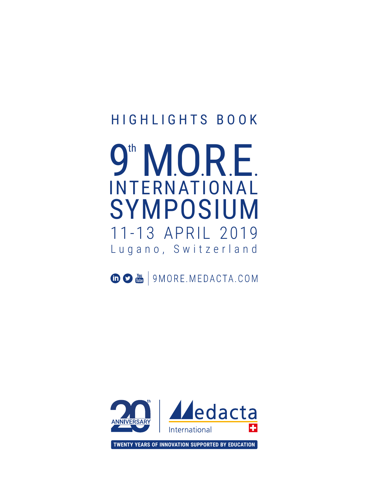## HIGHLIGHTS BOOK

# Lugano, Switzerland 11-13 APRIL 2019 SYMPOSIUM INTERNATIONAL 9<sup>th</sup> MORE

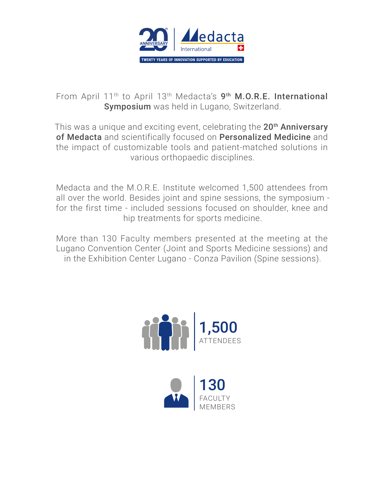

From April 11<sup>th</sup> to April 13<sup>th</sup> Medacta's 9<sup>th</sup> M.O.R.E. International Symposium was held in Lugano, Switzerland.

This was a unique and exciting event, celebrating the 20<sup>th</sup> Anniversary of Medacta and scientifically focused on Personalized Medicine and the impact of customizable tools and patient-matched solutions in various orthopaedic disciplines.

Medacta and the M.O.R.E. Institute welcomed 1,500 attendees from all over the world. Besides joint and spine sessions, the symposium for the first time - included sessions focused on shoulder, knee and hip treatments for sports medicine.

More than 130 Faculty members presented at the meeting at the Lugano Convention Center (Joint and Sports Medicine sessions) and in the Exhibition Center Lugano - Conza Pavilion (Spine sessions).



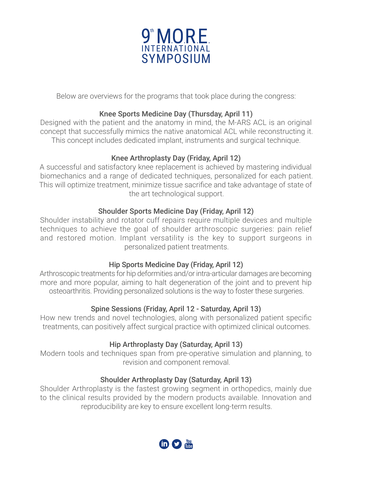

Below are overviews for the programs that took place during the congress:

#### Knee Sports Medicine Day (Thursday, April 11)

Designed with the patient and the anatomy in mind, the M-ARS ACL is an original concept that successfully mimics the native anatomical ACL while reconstructing it. This concept includes dedicated implant, instruments and surgical technique.

#### Knee Arthroplasty Day (Friday, April 12)

A successful and satisfactory knee replacement is achieved by mastering individual biomechanics and a range of dedicated techniques, personalized for each patient. This will optimize treatment, minimize tissue sacrifice and take advantage of state of the art technological support.

#### Shoulder Sports Medicine Day (Friday, April 12)

Shoulder instability and rotator cuff repairs require multiple devices and multiple techniques to achieve the goal of shoulder arthroscopic surgeries: pain relief and restored motion. Implant versatility is the key to support surgeons in personalized patient treatments.

#### Hip Sports Medicine Day (Friday, April 12)

Arthroscopic treatments for hip deformities and/or intra-articular damages are becoming more and more popular, aiming to halt degeneration of the joint and to prevent hip osteoarthritis. Providing personalized solutions is the way to foster these surgeries.

#### Spine Sessions (Friday, April 12 - Saturday, April 13)

How new trends and novel technologies, along with personalized patient specific treatments, can positively affect surgical practice with optimized clinical outcomes.

#### Hip Arthroplasty Day (Saturday, April 13)

Modern tools and techniques span from pre-operative simulation and planning, to revision and component removal.

#### Shoulder Arthroplasty Day (Saturday, April 13)

Shoulder Arthroplasty is the fastest growing segment in orthopedics, mainly due to the clinical results provided by the modern products available. Innovation and reproducibility are key to ensure excellent long-term results.

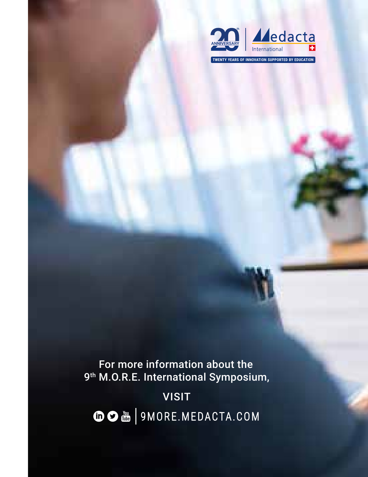

**TWENTY YEARS OF INNOVATION SUPPORTED BY EDUCATION**

For more information about the 9<sup>th</sup> M.O.R.E. International Symposium,

VISIT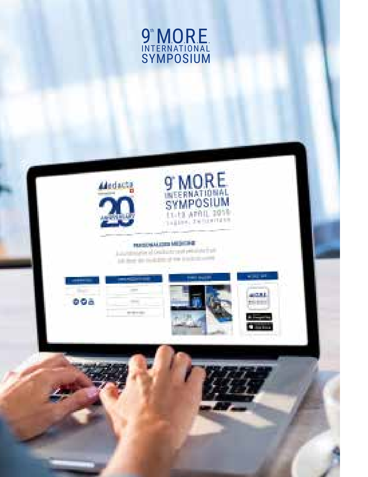

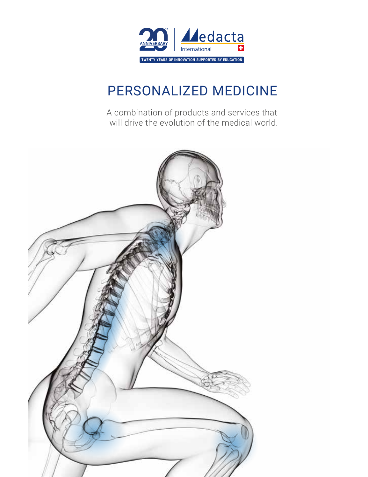

## PERSONALIZED MEDICINE

A combination of products and services that will drive the evolution of the medical world.

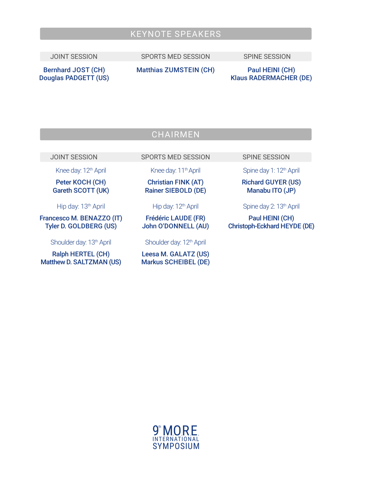### KEYNOTE SPEAKERS

JOINT SESSION SPORTS MED SESSION SPINE SESSION

Bernhard JOST (CH) Douglas PADGETT (US) Matthias ZUMSTEIN (CH) Paul HEINI (CH)

Klaus RADERMACHER (DE)

### **CHAIRMEN**

JOINT SESSION SPORTS MED SESSION SPINE SESSION

Knee day: 12<sup>th</sup> April

Peter KOCH (CH) Gareth SCOTT (UK)

Hip day: 13<sup>th</sup> April

Francesco M. BENAZZO (IT) Tyler D. GOLDBERG (US)

Shoulder day: 13<sup>th</sup> April

Ralph HERTEL (CH) Matthew D. SALTZMAN (US) Knee day: 11<sup>th</sup> April

Christian FINK (AT) Rainer SIEBOLD (DE)

Hip day: 12<sup>th</sup> April

Frédéric LAUDE (FR) John O'DONNELL (AU)

Shoulder day: 12<sup>th</sup> April

Leesa M. GALATZ (US) Markus SCHEIBEL (DE)

Spine day 1: 12<sup>th</sup> April

Richard GUYER (US) Manabu ITO (JP)

Spine day 2: 13<sup>th</sup> April

Paul HEINI (CH) Christoph-Eckhard HEYDE (DE)

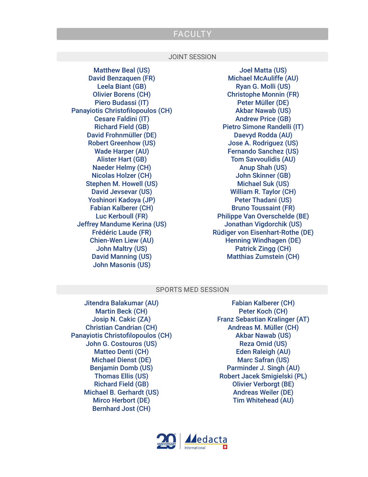#### FACULTY

#### JOINT SESSION

Matthew Beal (US) David Benzaquen (FR) Leela Biant (GB) Olivier Borens (CH) Piero Budassi (IT) Panayiotis Christofilopoulos (CH) Cesare Faldini (IT) Richard Field (GB) David Frohnmüller (DE) Robert Greenhow (US) Wade Harper (AU) Alister Hart (GB) Naeder Helmy (CH) Nicolas Holzer (CH) Stephen M. Howell (US) David Jevsevar (US) Yoshinori Kadoya (JP) Fabian Kalberer (CH) Luc Kerboull (FR) Jeffrey Mandume Kerina (US) Frédéric Laude (FR) Chien-Wen Liew (AU) John Maltry (US) David Manning (US) John Masonis (US)

Joel Matta (US) Michael McAuliffe (AU) Ryan G. Molli (US) Christophe Monnin (FR) Peter Müller (DE) Akbar Nawab (US) Andrew Price (GB) Pietro Simone Randelli (IT) Daevyd Rodda (AU) Jose A. Rodriguez (US) Fernando Sanchez (US) Tom Savvoulidis (AU) Anup Shah (US) John Skinner (GB) Michael Suk (US) William R. Taylor (CH) Peter Thadani (US) Bruno Toussaint (FR) Philippe Van Overschelde (BE) Jonathan Vigdorchik (US) Rüdiger von Eisenhart-Rothe (DE) Henning Windhagen (DE) Patrick Zingg (CH) Matthias Zumstein (CH)

#### SPORTS MED SESSION

Jitendra Balakumar (AU) Martin Beck (CH) Josip N. Cakic (ZA) Christian Candrian (CH) Panayiotis Christofilopoulos (CH) John G. Costouros (US) Matteo Denti (CH) Michael Dienst (DE) Benjamin Domb (US) Thomas Ellis (US) Richard Field (GB) Michael B. Gerhardt (US) Mirco Herbort (DE) Bernhard Jost (CH)

Fabian Kalberer (CH) Peter Koch (CH) Franz Sebastian Kralinger (AT) Andreas M. Müller (CH) Akbar Nawab (US) Reza Omid (US) Eden Raleigh (AU) Marc Safran (US) Parminder J. Singh (AU) Robert Jacek Smigielski (PL) Olivier Verborgt (BE) Andreas Weiler (DE) Tim Whitehead (AU)

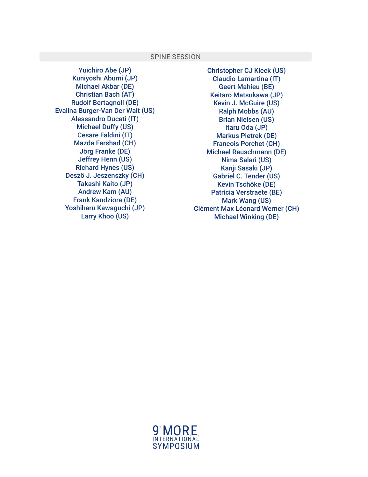#### SPINE SESSION

Yuichiro Abe (JP) Kuniyoshi Abumi (JP) Michael Akbar (DE) Christian Bach (AT) Rudolf Bertagnoli (DE) Evalina Burger-Van Der Walt (US) Alessandro Ducati (IT) Michael Duffy (US) Cesare Faldini (IT) Mazda Farshad (CH) Jörg Franke (DE) Jeffrey Henn (US) Richard Hynes (US) Deszö J. Jeszenszky (CH) Takashi Kaito (JP) Andrew Kam (AU) Frank Kandziora (DE) Yoshiharu Kawaguchi (JP) Larry Khoo (US)

Christopher CJ Kleck (US) Claudio Lamartina (IT) Geert Mahieu (BE) Keitaro Matsukawa (JP) Kevin J. McGuire (US) Ralph Mobbs (AU) Brian Nielsen (US) Itaru Oda (JP) Markus Pietrek (DE) Francois Porchet (CH) Michael Rauschmann (DE) Nima Salari (US) Kanji Sasaki (JP) Gabriel C. Tender (US) Kevin Tschöke (DE) Patricia Verstraete (BE) Mark Wang (US) Clément Max Léonard Werner (CH) Michael Winking (DE)

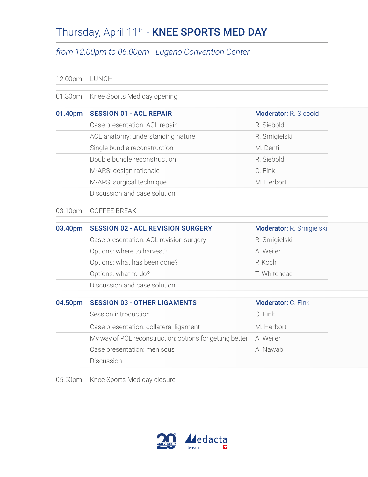## Thursday, April 11<sup>th</sup> - **KNEE SPORTS MED DAY**

### *from 12.00pm to 06.00pm - Lugano Convention Center*

| 12.00pm | LUNCH                                                    |                          |
|---------|----------------------------------------------------------|--------------------------|
| 01.30pm | Knee Sports Med day opening                              |                          |
| 01.40pm | <b>SESSION 01 - ACL REPAIR</b>                           | Moderator: R. Siebold    |
|         | Case presentation: ACL repair                            | R. Siebold               |
|         | ACL anatomy: understanding nature                        | R. Smigielski            |
|         | Single bundle reconstruction                             | M. Denti                 |
|         | Double bundle reconstruction                             | R. Siebold               |
|         | M-ARS: design rationale                                  | C. Fink                  |
|         | M-ARS: surgical technique                                | M. Herbort               |
|         | Discussion and case solution                             |                          |
| 03.10pm | COFFEE BREAK                                             |                          |
| 03.40pm | <b>SESSION 02 - ACL REVISION SURGERY</b>                 | Moderator: R. Smigielski |
|         | Case presentation: ACL revision surgery                  | R. Smigielski            |
|         | Options: where to harvest?                               | A. Weiler                |
|         | Options: what has been done?                             | P. Koch                  |
|         | Options: what to do?                                     | T. Whitehead             |
|         | Discussion and case solution                             |                          |
| 04.50pm | <b>SESSION 03 - OTHER LIGAMENTS</b>                      | Moderator: C. Fink       |
|         | Session introduction                                     | C. Fink                  |
|         | Case presentation: collateral ligament                   | M. Herbort               |
|         | My way of PCL reconstruction: options for getting better | A. Weiler                |
|         | Case presentation: meniscus                              | A. Nawab                 |
|         | Discussion                                               |                          |
| 05.50pm | Knee Sports Med day closure                              |                          |

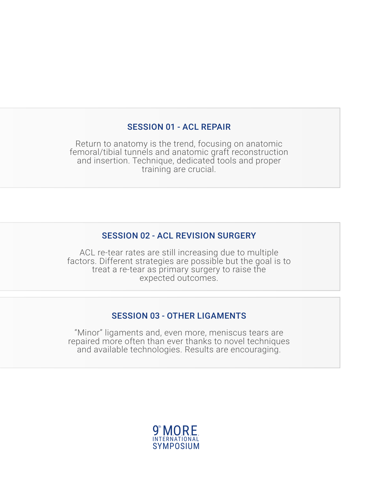#### SESSION 01 - ACL REPAIR

Return to anatomy is the trend, focusing on anatomic femoral/tibial tunnels and anatomic graft reconstruction and insertion. Technique, dedicated tools and proper training are crucial.

### SESSION 02 - ACL REVISION SURGERY

ACL re-tear rates are still increasing due to multiple factors. Different strategies are possible but the goal is to treat a re-tear as primary surgery to raise the expected outcomes.

#### SESSION 03 - OTHER LIGAMENTS

"Minor" ligaments and, even more, meniscus tears are repaired more often than ever thanks to novel techniques and available technologies. Results are encouraging.

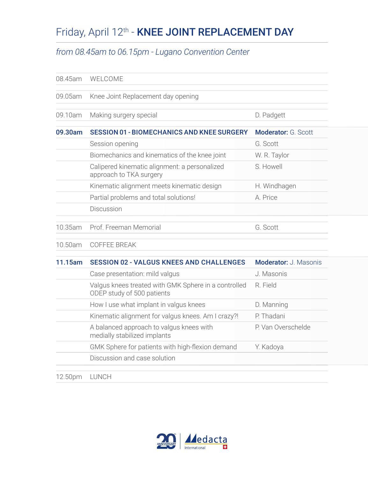## Friday, April 12<sup>th</sup> - **KNEE JOINT REPLACEMENT DAY**

#### *from 08.45am to 06.15pm - Lugano Convention Center*

| 08.45am | WELCOME                                                                            |                      |
|---------|------------------------------------------------------------------------------------|----------------------|
| 09.05am | Knee Joint Replacement day opening                                                 |                      |
| 09.10am | Making surgery special                                                             | D. Padgett           |
| 09.30am | <b>SESSION 01 - BIOMECHANICS AND KNEE SURGERY</b>                                  | Moderator: G. Scott  |
|         | Session opening                                                                    | G. Scott             |
|         | Biomechanics and kinematics of the knee joint                                      | W. R. Taylor         |
|         | Calipered kinematic alignment: a personalized<br>approach to TKA surgery           | S. Howell            |
|         | Kinematic alignment meets kinematic design                                         | H. Windhagen         |
|         | Partial problems and total solutions!                                              | A. Price             |
|         | Discussion                                                                         |                      |
| 10.35am | Prof. Freeman Memorial                                                             | G. Scott             |
| 10.50am | <b>COFFEE BREAK</b>                                                                |                      |
| 11.15am | <b>SESSION 02 - VALGUS KNEES AND CHALLENGES</b>                                    | Moderator: J Masonis |
|         | Case presentation: mild valgus                                                     | J. Masonis           |
|         | Valgus knees treated with GMK Sphere in a controlled<br>ODEP study of 500 patients | R. Field             |
|         | How I use what implant in valgus knees                                             | D. Manning           |
|         | Kinematic alignment for valgus knees. Am I crazy?!                                 | P. Thadani           |
|         | A balanced approach to valgus knees with<br>medially stabilized implants           | P. Van Overschelde   |
|         | GMK Sphere for patients with high-flexion demand                                   | Y. Kadoya            |
|         | Discussion and case solution                                                       |                      |
|         |                                                                                    |                      |

12.50pm LUNCH

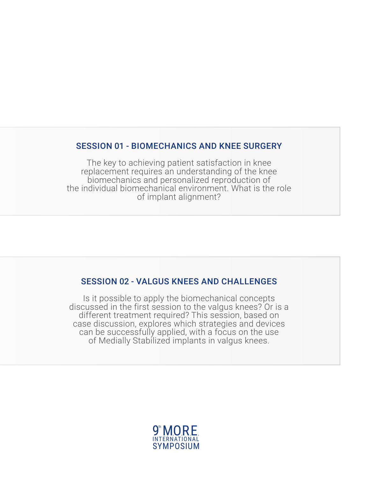#### SESSION 01 - BIOMECHANICS AND KNEE SURGERY

The key to achieving patient satisfaction in knee replacement requires an understanding of the knee biomechanics and personalized reproduction of the individual biomechanical environment. What is the role of implant alignment?

#### SESSION 02 - VALGUS KNEES AND CHALLENGES

Is it possible to apply the biomechanical concepts discussed in the first session to the valgus knees? Or is a different treatment required? This session, based on case discussion, explores which strategies and devices can be successfully applied, with a focus on the use of Medially Stabilized implants in valgus knees.

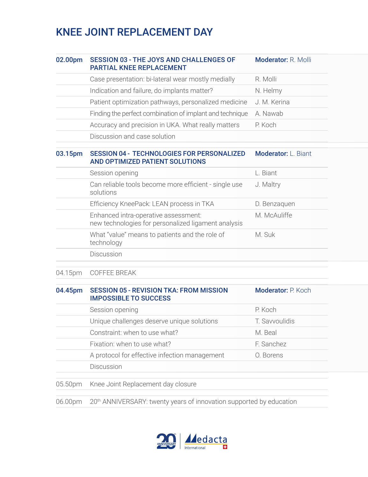### KNEE JOINT REPLACEMENT DAY

| 02.00pm | <b>SESSION 03 - THE JOYS AND CHALLENGES OF</b><br><b>PARTIAL KNEE REPLACEMENT</b>           | <b>Moderator: R. Molli</b> |
|---------|---------------------------------------------------------------------------------------------|----------------------------|
|         | Case presentation: bi-lateral wear mostly medially                                          | R. Molli                   |
|         | Indication and failure, do implants matter?                                                 | N. Helmy                   |
|         | Patient optimization pathways, personalized medicine                                        | J. M. Kerina               |
|         | Finding the perfect combination of implant and technique                                    | A. Nawab                   |
|         | Accuracy and precision in UKA. What really matters                                          | P. Koch                    |
|         | Discussion and case solution                                                                |                            |
| 03.15pm | <b>SESSION 04 - TECHNOLOGIES FOR PERSONALIZED</b><br>AND OPTIMIZED PATIENT SOLUTIONS        | Moderator: L. Biant        |
|         | Session opening                                                                             | L. Biant                   |
|         | Can reliable tools become more efficient - single use<br>solutions                          | J. Maltry                  |
|         | Efficiency KneePack: LEAN process in TKA                                                    | D. Benzaquen               |
|         | Enhanced intra-operative assessment:<br>new technologies for personalized ligament analysis | M. McAuliffe               |
|         | What "value" means to patients and the role of<br>technology                                | M. Suk                     |
|         | Discussion                                                                                  |                            |
| 04.15pm | COFFEE BREAK                                                                                |                            |
| 04.45pm | <b>SESSION 05 - REVISION TKA: FROM MISSION</b><br><b>IMPOSSIBLE TO SUCCESS</b>              | Moderator: P. Koch         |
|         | Session opening                                                                             | P. Koch                    |
|         | Unique challenges deserve unique solutions                                                  | T. Savvoulidis             |
|         | Constraint: when to use what?                                                               | M. Beal                    |
|         | Fixation: when to use what?                                                                 | F. Sanchez                 |
|         | A protocol for effective infection management                                               | O. Borens                  |
|         | Discussion                                                                                  |                            |
| 05.50pm | Knee Joint Replacement day closure                                                          |                            |
| 06.00pm | 20 <sup>th</sup> ANNIVERSARY: twenty years of innovation supported by education             |                            |

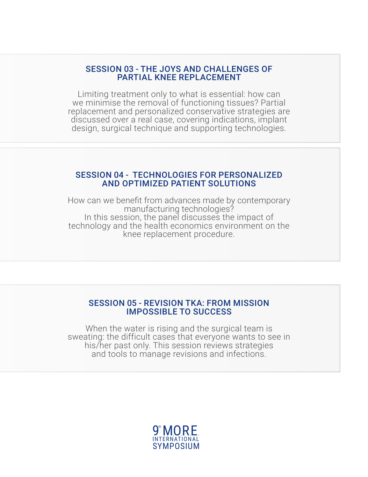#### SESSION 03 - THE JOYS AND CHALLENGES OF PARTIAL KNEE REPLACEMENT

Limiting treatment only to what is essential: how can we minimise the removal of functioning tissues? Partial replacement and personalized conservative strategies are discussed over a real case, covering indications, implant design, surgical technique and supporting technologies.

#### SESSION 04 - TECHNOLOGIES FOR PERSONALIZED AND OPTIMIZED PATIENT SOLUTIONS

How can we benefit from advances made by contemporary manufacturing technologies? In this session, the panel discusses the impact of technology and the health economics environment on the knee replacement procedure.

#### SESSION 05 - REVISION TKA: FROM MISSION IMPOSSIBLE TO SUCCESS

When the water is rising and the surgical team is sweating: the difficult cases that everyone wants to see in his/her past only. This session reviews strategies and tools to manage revisions and infections.

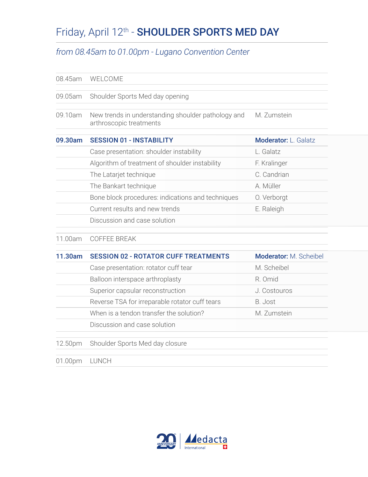## Friday, April 12<sup>th</sup> - **SHOULDER SPORTS MED DAY**

### *from 08.45am to 01.00pm - Lugano Convention Center*

| 08.45am | WELCOME                                                                       |                        |
|---------|-------------------------------------------------------------------------------|------------------------|
| 09.05am | Shoulder Sports Med day opening                                               |                        |
| 09.10am | New trends in understanding shoulder pathology and<br>arthroscopic treatments | M. Zumstein            |
| 09.30am | <b>SESSION 01 - INSTABILITY</b>                                               | Moderator: L. Galatz   |
|         | Case presentation: shoulder instability                                       | L. Galatz              |
|         | Algorithm of treatment of shoulder instability                                | F. Kralinger           |
|         | The Latarjet technique                                                        | C. Candrian            |
|         | The Bankart technique                                                         | A. Müller              |
|         | Bone block procedures: indications and techniques                             | O. Verborgt            |
|         | Current results and new trends                                                | E. Raleigh             |
|         | Discussion and case solution                                                  |                        |
| 11.00am | <b>COFFEE BREAK</b>                                                           |                        |
| 11.30am | <b>SESSION 02 - ROTATOR CUFF TREATMENTS</b>                                   | Moderator: M. Scheibel |
|         | Case presentation: rotator cuff tear                                          | M. Scheibel            |
|         | Balloon interspace arthroplasty                                               | R. Omid                |
|         | Superior capsular reconstruction                                              | J. Costouros           |
|         | Reverse TSA for irreparable rotator cuff tears                                | B. Jost                |
|         | When is a tendon transfer the solution?                                       | M. Zumstein            |
|         | Discussion and case solution                                                  |                        |
| 12.50pm | Shoulder Sports Med day closure                                               |                        |
| 01.00pm | LUNCH                                                                         |                        |

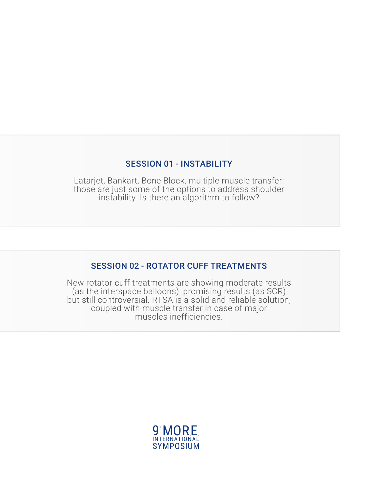#### SESSION 01 - INSTABILITY

Latarjet, Bankart, Bone Block, multiple muscle transfer: those are just some of the options to address shoulder instability. Is there an algorithm to follow?

#### SESSION 02 - ROTATOR CUFF TREATMENTS

New rotator cuff treatments are showing moderate results (as the interspace balloons), promising results (as SCR) but still controversial. RTSA is a solid and reliable solution, coupled with muscle transfer in case of major muscles inefficiencies.

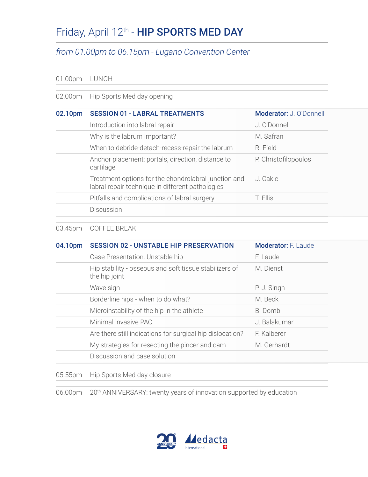### Friday, April 12<sup>th</sup> - HIP SPORTS MED DAY

### *from 01.00pm to 06.15pm - Lugano Convention Center*

#### 01.00pm LUNCH

02.00pm Hip Sports Med day opening

| 02.10pm | <b>SESSION 01 - LABRAL TREATMENTS</b>                                                                    | Moderator: J. O'Donnell |
|---------|----------------------------------------------------------------------------------------------------------|-------------------------|
|         | Introduction into labral repair                                                                          | J. O'Donnell            |
|         | Why is the labrum important?                                                                             | M Safran                |
|         | When to debride-detach-recess-repair the labrum                                                          | R. Field                |
|         | Anchor placement: portals, direction, distance to<br>cartilage                                           | P. Christofilopoulos    |
|         | Treatment options for the chondrolabral junction and<br>labral repair technique in different pathologies | J. Cakic                |
|         | Pitfalls and complications of labral surgery                                                             | T. Ellis                |
|         | Discussion                                                                                               |                         |
|         |                                                                                                          |                         |

#### 03.45pm COFFEE BREAK

| 04.10pm | <b>SESSION 02 - UNSTABLE HIP PRESERVATION</b>                           | Moderator: F. Laude |
|---------|-------------------------------------------------------------------------|---------------------|
|         | Case Presentation: Unstable hip                                         | F. Laude            |
|         | Hip stability - osseous and soft tissue stabilizers of<br>the hip joint | M. Dienst           |
|         | Wave sign                                                               | P. J. Singh         |
|         | Borderline hips - when to do what?                                      | M. Beck             |
|         | Microinstability of the hip in the athlete                              | B. Domb             |
|         | Minimal invasive PAO                                                    | J. Balakumar        |
|         | Are there still indications for surgical hip dislocation?               | F. Kalberer         |
|         | My strategies for resecting the pincer and cam                          | M. Gerhardt         |
|         | Discussion and case solution                                            |                     |
| 05.55pm | Hip Sports Med day closure                                              |                     |
|         |                                                                         |                     |

06.00pm 20<sup>th</sup> ANNIVERSARY: twenty years of innovation supported by education

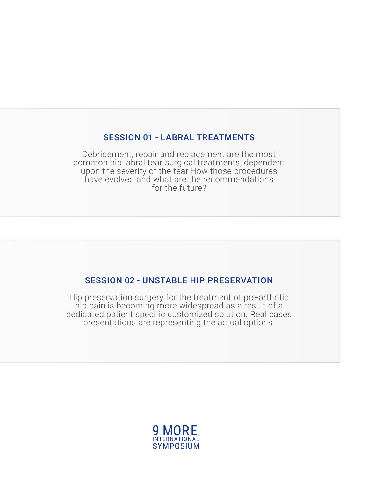#### SESSION 01 - LABRAL TREATMENTS

Debridement, repair and replacement are the most common hip labral tear surgical treatments, dependent upon the severity of the tear.How those procedures have evolved and what are the recommendations for the future?

#### SESSION 02 - UNSTABLE HIP PRESERVATION

Hip preservation surgery for the treatment of pre-arthritic hip pain is becoming more widespread as a result of a dedicated patient specific customized solution. Real cases presentations are representing the actual options.

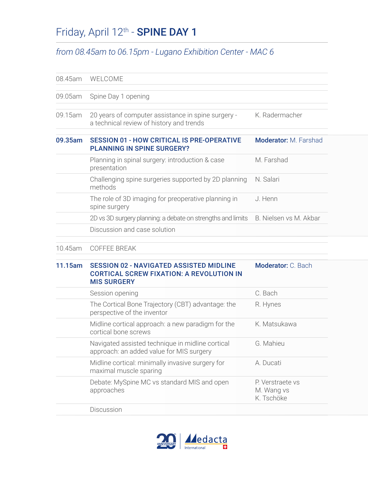## Friday, April 12<sup>th</sup> - **SPINE DAY 1**

### *from 08.45am to 06.15pm - Lugano Exhibition Center - MAC 6*

| 08.45am | WELCOME                                                                                                                 |                                              |
|---------|-------------------------------------------------------------------------------------------------------------------------|----------------------------------------------|
| 09.05am | Spine Day 1 opening                                                                                                     |                                              |
| 09.15am | 20 years of computer assistance in spine surgery -<br>a technical review of history and trends                          | K. Radermacher                               |
| 09.35am | <b>SESSION 01 - HOW CRITICAL IS PRE-OPERATIVE</b><br><b>PLANNING IN SPINE SURGERY?</b>                                  | Moderator: M. Farshad                        |
|         | Planning in spinal surgery: introduction & case<br>presentation                                                         | M. Farshad                                   |
|         | Challenging spine surgeries supported by 2D planning<br>methods                                                         | N. Salari                                    |
|         | The role of 3D imaging for preoperative planning in<br>spine surgery                                                    | J. Henn                                      |
|         | 2D vs 3D surgery planning: a debate on strengths and limits                                                             | B. Nielsen vs M. Akbar                       |
|         | Discussion and case solution                                                                                            |                                              |
| 10.45am | <b>COFFEE BREAK</b>                                                                                                     |                                              |
| 11.15am | <b>SESSION 02 - NAVIGATED ASSISTED MIDLINE</b><br><b>CORTICAL SCREW FIXATION: A REVOLUTION IN</b><br><b>MIS SURGERY</b> | Moderator: C. Bach                           |
|         | Session opening                                                                                                         | C. Bach                                      |
|         | The Cortical Bone Trajectory (CBT) advantage: the<br>perspective of the inventor                                        | R. Hynes                                     |
|         | Midline cortical approach: a new paradigm for the<br>cortical bone screws                                               | K. Matsukawa                                 |
|         | Navigated assisted technique in midline cortical<br>approach: an added value for MIS surgery                            | G. Mahieu                                    |
|         | Midline cortical: minimally invasive surgery for<br>maximal muscle sparing                                              | A. Ducati                                    |
|         | Debate: MySpine MC vs standard MIS and open<br>approaches                                                               | P. Verstraete vs<br>M. Wang vs<br>K. Tschöke |
|         | Discussion                                                                                                              |                                              |

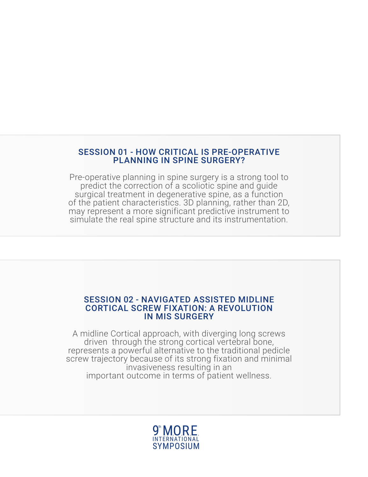#### SESSION 01 - HOW CRITICAL IS PRE-OPERATIVE PLANNING IN SPINE SURGERY?

Pre-operative planning in spine surgery is a strong tool to predict the correction of a scoliotic spine and guide surgical treatment in degenerative spine, as a function of the patient characteristics. 3D planning, rather than 2D, may represent a more significant predictive instrument to simulate the real spine structure and its instrumentation.

#### SESSION 02 - NAVIGATED ASSISTED MIDLINE CORTICAL SCREW FIXATION: A REVOLUTION IN MIS SURGERY

A midline Cortical approach, with diverging long screws driven through the strong cortical vertebral bone, represents a powerful alternative to the traditional pedicle screw trajectory because of its strong fixation and minimal invasiveness resulting in an important outcome in terms of patient wellness.

#### 9 th SYMPOSIUM INTERNATIONAL **MORE**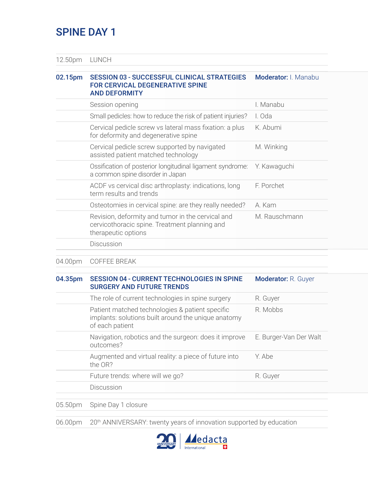### SPINE DAY 1

12.50pm LUNCH

#### 02.15pm SESSION 03 - SUCCESSFUL CLINICAL STRATEGIES FOR CERVICAL DEGENERATIVE SPINE AND DEFORMITY Moderator: I. Manabu

| Session opening                                                                                                           | I. Manabu     |
|---------------------------------------------------------------------------------------------------------------------------|---------------|
| Small pedicles: how to reduce the risk of patient injuries?                                                               | I. Oda        |
| Cervical pedicle screw vs lateral mass fixation: a plus<br>for deformity and degenerative spine                           | K. Abumi      |
| Cervical pedicle screw supported by navigated<br>assisted patient matched technology                                      | M. Winking    |
| Ossification of posterior longitudinal ligament syndrome:<br>a common spine disorder in Japan                             | Y. Kawaguchi  |
| ACDF vs cervical disc arthroplasty: indications, long<br>term results and trends                                          | F. Porchet    |
| Osteotomies in cervical spine: are they really needed?                                                                    | A. Kam        |
| Revision, deformity and tumor in the cervical and<br>cervicothoracic spine. Treatment planning and<br>therapeutic options | M. Rauschmann |
| Discussion                                                                                                                |               |

04.00pm COFFEE BREAK

#### 04.35pm SESSION 04 - CURRENT TECHNOLOGIES IN SPINE SURGERY AND FUTURE TRENDS Moderator: R. Guyer

| The role of current technologies in spine surgery                                                                         | R. Guyer               |
|---------------------------------------------------------------------------------------------------------------------------|------------------------|
| Patient matched technologies & patient specific<br>implants: solutions built around the unique anatomy<br>of each patient | R. Mobbs               |
| Navigation, robotics and the surgeon: does it improve<br>outcomes?                                                        | E. Burger-Van Der Walt |
| Augmented and virtual reality: a piece of future into<br>the OR?                                                          | Y Ahe                  |
| Future trends: where will we go?                                                                                          | R. Guyer               |
| Discussion                                                                                                                |                        |

05.50pm Spine Day 1 closure

06.00pm 20<sup>th</sup> ANNIVERSARY: twenty years of innovation supported by education

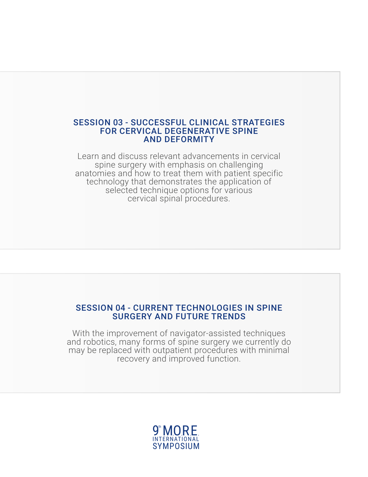#### SESSION 03 - SUCCESSFUL CLINICAL STRATEGIES FOR CERVICAL DEGENERATIVE SPINE AND DEFORMITY

Learn and discuss relevant advancements in cervical spine surgery with emphasis on challenging anatomies and how to treat them with patient specific technology that demonstrates the application of selected technique options for various cervical spinal procedures.

#### SESSION 04 - CURRENT TECHNOLOGIES IN SPINE SURGERY AND FUTURE TRENDS

With the improvement of navigator-assisted techniques and robotics, many forms of spine surgery we currently do may be replaced with outpatient procedures with minimal recovery and improved function.

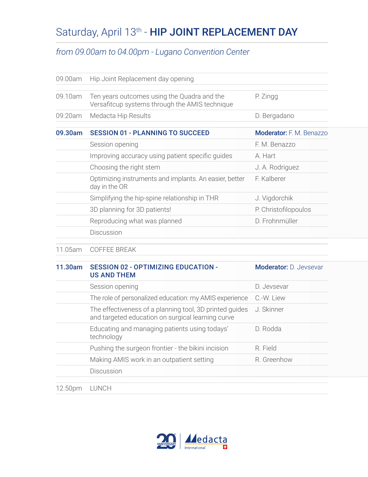## Saturday, April 13<sup>th</sup> - HIP JOINT REPLACEMENT DAY

### *from 09.00am to 04.00pm - Lugano Convention Center*

| 09.00am | Hip Joint Replacement day opening                                                             |                          |
|---------|-----------------------------------------------------------------------------------------------|--------------------------|
| 09.10am | Ten years outcomes using the Quadra and the<br>Versafitcup systems through the AMIS technique | P. Zingg                 |
| 09.20am | Medacta Hip Results                                                                           | D. Bergadano             |
| 09.30am | <b>SESSION 01 - PLANNING TO SUCCEED</b>                                                       | Moderator: F. M. Benazzo |
|         | Session opening                                                                               | F. M. Benazzo            |
|         | Improving accuracy using patient specific guides                                              | A. Hart                  |
|         | Choosing the right stem                                                                       | J. A. Rodriguez          |
|         | Optimizing instruments and implants. An easier, better<br>day in the OR                       | F. Kalberer              |
|         | Simplifying the hip-spine relationship in THR                                                 | J. Vigdorchik            |
|         | 3D planning for 3D patients!                                                                  | P. Christofilopoulos     |
|         | Reproducing what was planned                                                                  | D. Frohnmüller           |
|         | Discussion                                                                                    |                          |

#### 11.05am COFFEE BREAK

| 11.30am | <b>SESSION 02 - OPTIMIZING EDUCATION -</b><br><b>US AND THEM</b>                                             | <b>Moderator: D. Jevsevar</b> |
|---------|--------------------------------------------------------------------------------------------------------------|-------------------------------|
|         | Session opening                                                                                              | D. Jevsevar                   |
|         | The role of personalized education: my AMIS experience                                                       | C.-W. Liew                    |
|         | The effectiveness of a planning tool, 3D printed guides<br>and targeted education on surgical learning curve | J. Skinner                    |
|         | Educating and managing patients using todays'<br>technology                                                  | D. Rodda                      |
|         | Pushing the surgeon frontier - the bikini incision                                                           | R. Field                      |
|         | Making AMIS work in an outpatient setting                                                                    | R. Greenhow                   |
|         | Discussion                                                                                                   |                               |
| 12.50pm | LUNCH                                                                                                        |                               |

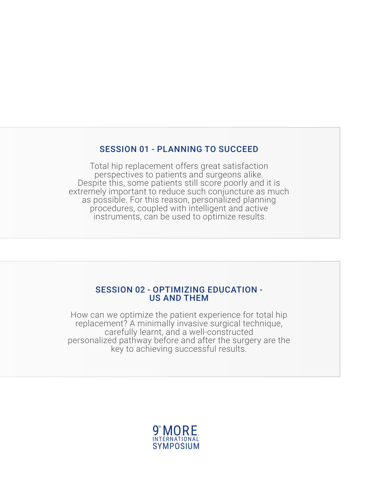#### SESSION 01 - PLANNING TO SUCCEED

Total hip replacement offers great satisfaction perspectives to patients and surgeons alike. Despite this, some patients still score poorly and it is extremely important to reduce such conjuncture as much as possible. For this reason, personalized planning procedures, coupled with intelligent and active instruments, can be used to optimize results.

#### SESSION 02 - OPTIMIZING EDUCATION - US AND THEM

How can we optimize the patient experience for total hip replacement? A minimally invasive surgical technique, carefully learnt, and a well-constructed personalized pathway before and after the surgery are the key to achieving successful results.

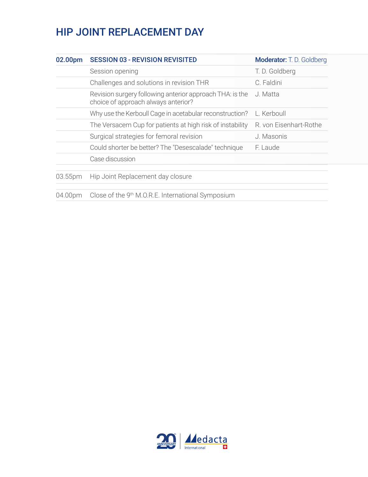### HIP JOINT REPLACEMENT DAY

| 02.00pm | <b>SESSION 03 - REVISION REVISITED</b>                                                          | Moderator: T. D. Goldberg |
|---------|-------------------------------------------------------------------------------------------------|---------------------------|
|         | Session opening                                                                                 | T.D. Goldberg             |
|         | Challenges and solutions in revision THR                                                        | C. Faldini                |
|         | Revision surgery following anterior approach THA: is the<br>choice of approach always anterior? | J. Matta                  |
|         | Why use the Kerboull Cage in acetabular reconstruction?                                         | L. Kerboull               |
|         | The Versacem Cup for patients at high risk of instability                                       | R. von Eisenhart-Rothe    |
|         | Surgical strategies for femoral revision                                                        | J. Masonis                |
|         | Could shorter be better? The "Desescalade" technique                                            | F. Laude                  |
|         | Case discussion                                                                                 |                           |
| 03.55pm | Hip Joint Replacement day closure                                                               |                           |
| 04.00pm | Close of the 9 <sup>th</sup> M.O.R.E. International Symposium                                   |                           |

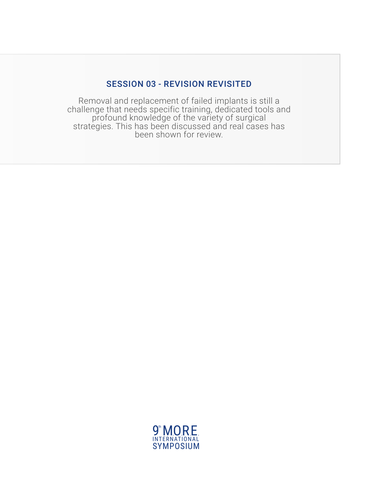### SESSION 03 - REVISION REVISITED

Removal and replacement of failed implants is still a challenge that needs specific training, dedicated tools and profound knowledge of the variety of surgical strategies. This has been discussed and real cases has been shown for review.

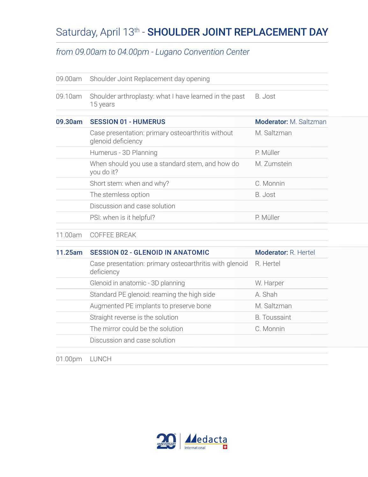## Saturday, April 13th - SHOULDER JOINT REPLACEMENT DAY

#### *from 09.00am to 04.00pm - Lugano Convention Center*

| 09.00am | Shoulder Joint Replacement day opening                                   |                               |  |
|---------|--------------------------------------------------------------------------|-------------------------------|--|
| 09.10am | Shoulder arthroplasty: what I have learned in the past<br>15 years       | B. Jost                       |  |
| 09.30am | <b>SESSION 01 - HUMERUS</b>                                              | <b>Moderator:</b> M. Saltzman |  |
|         | Case presentation: primary osteoarthritis without<br>glenoid deficiency  | M. Saltzman                   |  |
|         | Humerus - 3D Planning                                                    | P. Müller                     |  |
|         | When should you use a standard stem, and how do<br>you do it?            | M. Zumstein                   |  |
|         | Short stem: when and why?                                                | C. Monnin                     |  |
|         | The stemless option                                                      | B. Jost                       |  |
|         | Discussion and case solution                                             |                               |  |
|         | PSI: when is it helpful?                                                 | P. Müller                     |  |
| 11.00am | <b>COFFEE BREAK</b>                                                      |                               |  |
| - - -   | $\mathbf{a} = \mathbf{a} \cdot \mathbf{a} + \mathbf{b} \cdot \mathbf{a}$ |                               |  |

| 11.25am | <b>SESSION 02 - GLENOID IN ANATOMIC</b>                              | Moderator: R. Hertel |
|---------|----------------------------------------------------------------------|----------------------|
|         | Case presentation: primary osteoarthritis with glenoid<br>deficiency | R. Hertel            |
|         | Glenoid in anatomic - 3D planning                                    | W. Harper            |
|         | Standard PE glenoid: reaming the high side                           | A. Shah              |
|         | Augmented PE implants to preserve bone                               | M. Saltzman          |
|         | Straight reverse is the solution                                     | <b>B.</b> Toussaint  |
|         | The mirror could be the solution                                     | C. Monnin            |
|         | Discussion and case solution                                         |                      |
| 01.00pm | <b>LUNCH</b>                                                         |                      |

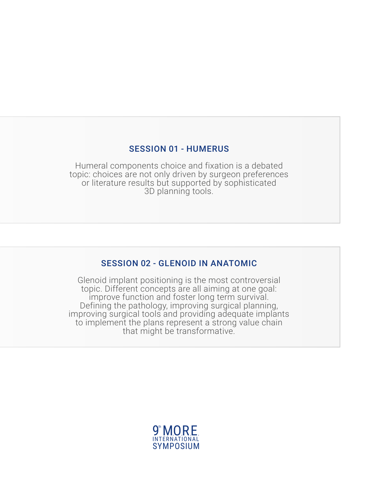#### SESSION 01 - HUMERUS

Humeral components choice and fixation is a debated topic: choices are not only driven by surgeon preferences or literature results but supported by sophisticated 3D planning tools.

### SESSION 02 - GLENOID IN ANATOMIC

Glenoid implant positioning is the most controversial topic. Different concepts are all aiming at one goal: improve function and foster long term survival. Defining the pathology, improving surgical planning, improving surgical tools and providing adequate implants to implement the plans represent a strong value chain that might be transformative.

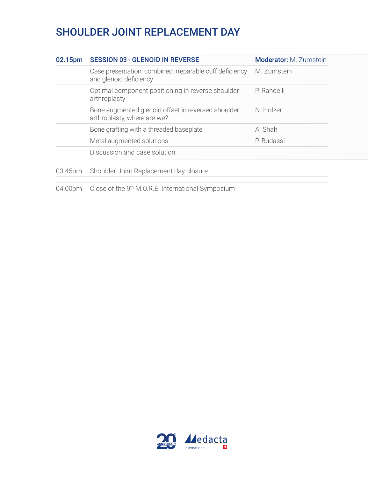## SHOULDER JOINT REPLACEMENT DAY

| 02.15pm | <b>SESSION 03 - GLENOID IN REVERSE</b>                                            |  | <b>Moderator:</b> M. Zumstein |
|---------|-----------------------------------------------------------------------------------|--|-------------------------------|
|         | Case presentation: combined irreparable cuff deficiency<br>and glenoid deficiency |  | M. Zumstein                   |
|         | Optimal component positioning in reverse shoulder<br>arthroplasty                 |  | P. Randelli                   |
|         | Bone augmented glenoid offset in reversed shoulder<br>arthroplasty, where are we? |  | N. Holzer                     |
|         | Bone grafting with a threaded baseplate                                           |  | A. Shah                       |
|         | Metal augmented solutions                                                         |  | P. Budassi                    |
|         | Discussion and case solution                                                      |  |                               |
| 03.45pm | Shoulder Joint Replacement day closure                                            |  |                               |
| 04.00pm | Close of the 9 <sup>th</sup> M.O.R.E. International Symposium                     |  |                               |

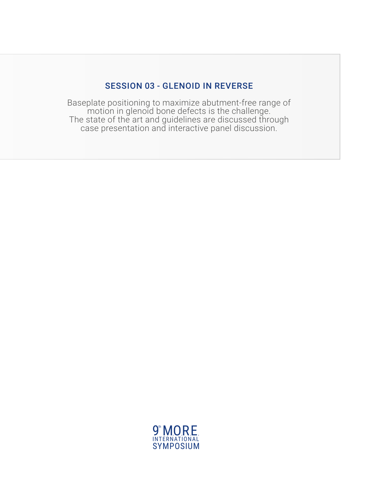### SESSION 03 - GLENOID IN REVERSE

Baseplate positioning to maximize abutment-free range of motion in glenoid bone defects is the challenge. The state of the art and guidelines are discussed through case presentation and interactive panel discussion.

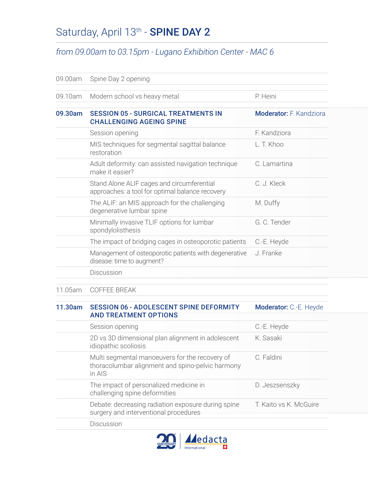## Saturday, April 13<sup>th</sup> - **SPINE DAY 2**

#### *from 09.00am to 03.15pm - Lugano Exhibition Center - MAC 6*

| 09.00am | Spine Day 2 opening                                                                           |                                |
|---------|-----------------------------------------------------------------------------------------------|--------------------------------|
| 09.10am | Modern school vs heavy metal                                                                  | P. Heini                       |
| 09.30am | <b>SESSION 05 - SURGICAL TREATMENTS IN</b><br><b>CHALLENGING AGEING SPINE</b>                 | <b>Moderator:</b> F. Kandziora |
|         | Session opening                                                                               | F. Kandziora                   |
|         | MIS techniques for segmental sagittal balance<br>restoration                                  | L. T. Khoo                     |
|         | Adult deformity: can assisted navigation technique<br>make it easier?                         | C. Lamartina                   |
|         | Stand Alone ALIF cages and circumferential<br>approaches: a tool for optimal balance recovery | C. J. Kleck                    |
|         | The ALIF: an MIS approach for the challenging<br>degenerative lumbar spine                    | M. Duffy                       |
|         | Minimally invasive TLIF options for lumbar<br>spondylolisthesis                               | G. C. Tender                   |
|         | The impact of bridging cages in osteoporotic patients                                         | C.-E. Heyde                    |
|         | Management of osteoporotic patients with degenerative<br>disease: time to augment?            | J. Franke                      |
|         | Discussion                                                                                    |                                |
|         | $\cap$ $\cap$ $\cap$ $\cap$ $\cap$ $\cap$ $\cap$ $\cap$                                       |                                |

11.05am COFFEE BREAK

#### 11.30am SESSION 06 - ADOLESCENT SPINE DEFORMITY AND TREATMENT OPTIONS Moderator: C.-E. Heyde

| Session opening                                                                                              | C.-E. Heyde            |
|--------------------------------------------------------------------------------------------------------------|------------------------|
| 2D vs 3D dimensional plan alignment in adolescent<br>idiopathic scoliosis                                    | K. Sasaki              |
| Multi segmental manoeuvers for the recovery of<br>thoracolumbar alignment and spino-pelvic harmony<br>in AIS | C. Faldini             |
| The impact of personalized medicine in<br>challenging spine deformities                                      | D. Jeszsenszky         |
| Debate: decreasing radiation exposure during spine<br>surgery and interventional procedures                  | T. Kaito vs K. McGuire |
| Discussion                                                                                                   |                        |

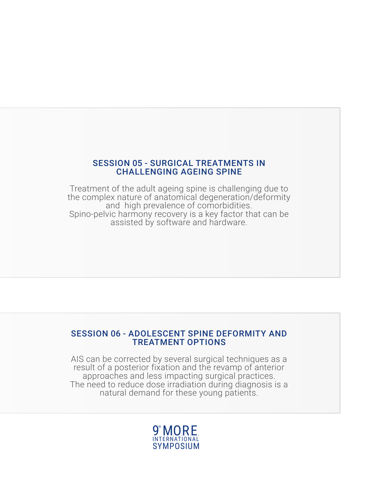#### SESSION 05 - SURGICAL TREATMENTS IN CHALLENGING AGEING SPINE

Treatment of the adult ageing spine is challenging due to the complex nature of anatomical degeneration/deformity and high prevalence of comorbidities. Spino-pelvic harmony recovery is a key factor that can be assisted by software and hardware.

#### SESSION 06 - ADOLESCENT SPINE DEFORMITY AND TREATMENT OPTIONS

AIS can be corrected by several surgical techniques as a result of a posterior fixation and the revamp of anterior approaches and less impacting surgical practices. The need to reduce dose irradiation during diagnosis is a natural demand for these young patients.

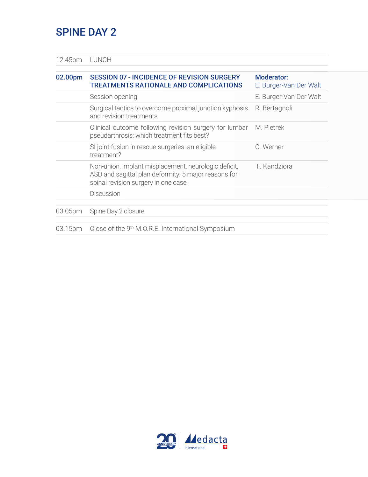### SPINE DAY 2

12.45pm LUNCH

| 02.00pm | <b>SESSION 07 - INCIDENCE OF REVISION SURGERY</b><br><b>TREATMENTS RATIONALE AND COMPLICATIONS</b>                                                  | Moderator:<br>E. Burger-Van Der Walt |
|---------|-----------------------------------------------------------------------------------------------------------------------------------------------------|--------------------------------------|
|         | Session opening                                                                                                                                     | E. Burger-Van Der Walt               |
|         | Surgical tactics to overcome proximal junction kyphosis<br>and revision treatments                                                                  | R. Bertagnoli                        |
|         | Clinical outcome following revision surgery for lumbar<br>pseudarthrosis: which treatment fits best?                                                | M. Pietrek                           |
|         | SI joint fusion in rescue surgeries: an eligible<br>treatment?                                                                                      | C. Werner                            |
|         | Non-union, implant misplacement, neurologic deficit,<br>ASD and sagittal plan deformity: 5 major reasons for<br>spinal revision surgery in one case | F. Kandziora                         |
|         | <b>Discussion</b>                                                                                                                                   |                                      |
| 03.05pm | Spine Day 2 closure                                                                                                                                 |                                      |
| 03.15pm | Close of the 9 <sup>th</sup> M.O.R.E. International Symposium                                                                                       |                                      |

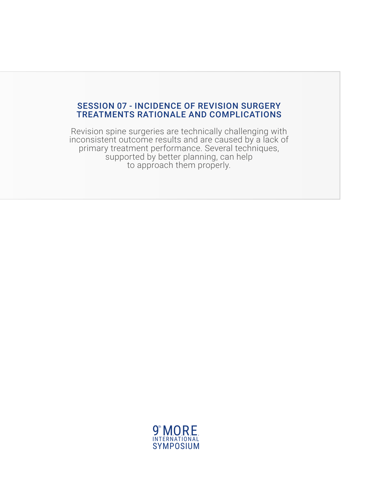#### SESSION 07 - INCIDENCE OF REVISION SURGERY TREATMENTS RATIONALE AND COMPLICATIONS

Revision spine surgeries are technically challenging with inconsistent outcome results and are caused by a lack of primary treatment performance. Several techniques, supported by better planning, can help to approach them properly.